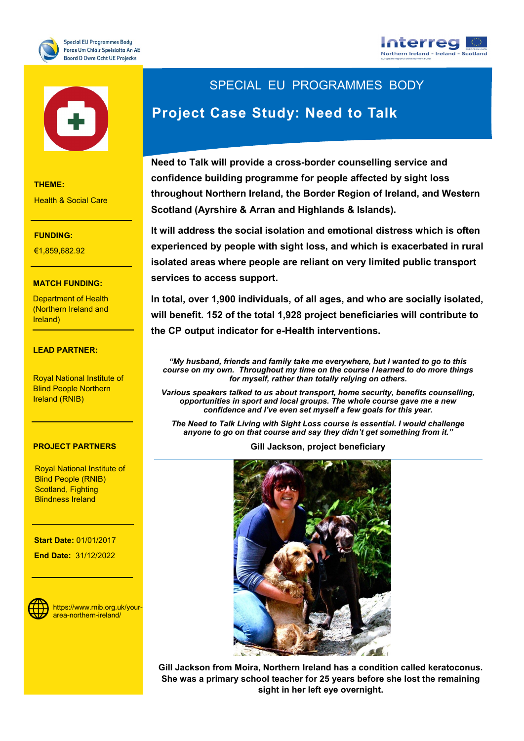





**THEME:**

Health & Social Care

#### **FUNDING:**

**THEME:** €1,859,682.92

#### **MATCH FUNDING:**

Research and Innovation

Department of Health (Northern Ireland and Ireland)

#### €7,727,271.20 **LEAD PARTNER:**

Blind People Northern Royal National Institute of Ireland (RNIB)

#### **PROJECT PARTNERS**

Royal National Institute of **Blindness Ireland** Blind People (RNIB) Scotland, Fighting

**WEBSITE: End Date:** 31/12/2022 **Start Date:** 01/01/2017



https://www.rnib.org.uk/yourarea-northern-ireland/

# SPECIAL EU PROGRAMMES BODY **Project Case Study: Need to Talk**

**Need to Talk will provide a cross-border counselling service and confidence building programme for people affected by sight loss throughout Northern Ireland, the Border Region of Ireland, and Western Scotland (Ayrshire & Arran and Highlands & Islands).** 

**It will address the social isolation and emotional distress which is often experienced by people with sight loss, and which is exacerbated in rural isolated areas where people are reliant on very limited public transport services to access support.** 

**In total, over 1,900 individuals, of all ages, and who are socially isolated, will benefit. 152 of the total 1,928 project beneficiaries will contribute to the CP output indicator for e-Health interventions.** 

*"My husband, friends and family take me everywhere, but I wanted to go to this course on my own. Throughout my time on the course I learned to do more things for myself, rather than totally relying on others.*

*Various speakers talked to us about transport, home security, benefits counselling, opportunities in sport and local groups. The whole course gave me a new confidence and I've even set myself a few goals for this year.*

*The Need to Talk Living with Sight Loss course is essential. I would challenge anyone to go on that course and say they didn't get something from it."* 

**Gill Jackson, project beneficiary**



**Gill Jackson from Moira, Northern Ireland has a condition called keratoconus. She was a primary school teacher for 25 years before she lost the remaining sight in her left eye overnight.**